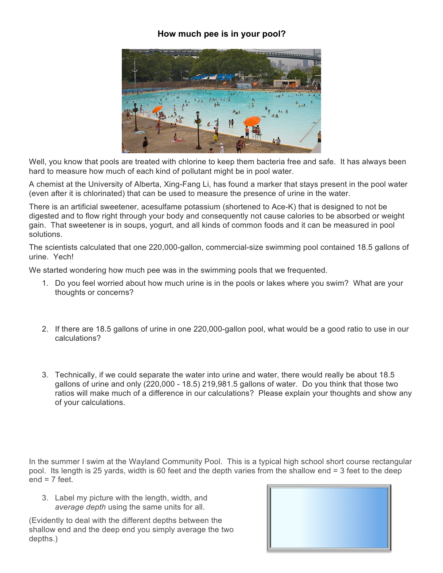## **How much pee is in your pool?**



Well, you know that pools are treated with chlorine to keep them bacteria free and safe. It has always been hard to measure how much of each kind of pollutant might be in pool water.

A chemist at the University of Alberta, Xing-Fang Li, has found a marker that stays present in the pool water (even after it is chlorinated) that can be used to measure the presence of urine in the water.

There is an artificial sweetener, acesulfame potassium (shortened to Ace-K) that is designed to not be digested and to flow right through your body and consequently not cause calories to be absorbed or weight gain. That sweetener is in soups, yogurt, and all kinds of common foods and it can be measured in pool solutions.

The scientists calculated that one 220,000-gallon, commercial-size swimming pool contained 18.5 gallons of urine. Yech!

We started wondering how much pee was in the swimming pools that we frequented.

- 1. Do you feel worried about how much urine is in the pools or lakes where you swim? What are your thoughts or concerns?
- 2. If there are 18.5 gallons of urine in one 220,000-gallon pool, what would be a good ratio to use in our calculations?
- 3. Technically, if we could separate the water into urine and water, there would really be about 18.5 gallons of urine and only (220,000 - 18.5) 219,981.5 gallons of water. Do you think that those two ratios will make much of a difference in our calculations? Please explain your thoughts and show any of your calculations.

In the summer I swim at the Wayland Community Pool. This is a typical high school short course rectangular pool. Its length is 25 yards, width is 60 feet and the depth varies from the shallow end = 3 feet to the deep  $end = 7$  feet.

3. Label my picture with the length, width, and *average depth* using the same units for all.

(Evidently to deal with the different depths between the shallow end and the deep end you simply average the two depths.)